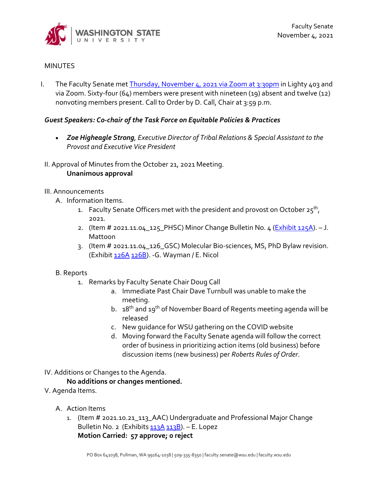

# **MINUTES**

I. The Faculty Senate me[t Thursday, November 4, 2021 via Zoom at 3:30pm](https://wsu.zoom.us/j/92932336833?from=addon) in Lighty 403 and via Zoom. Sixty-four (64) members were present with nineteen (19) absent and twelve (12) nonvoting members present. Call to Order by D. Call, Chair at 3:59 p.m.

# *Guest Speakers: Co-chair of the Task Force on Equitable Policies & Practices*

- *Zoe Higheagle Strong, Executive Director of Tribal Relations & Special Assistant to the Provost and Executive Vice President*
- II. Approval of Minutes from the October 21, 2021 Meeting. **Unanimous approval**

## III. Announcements

- A. Information Items.
	- 1. Faculty Senate Officers met with the president and provost on October  $25^{th}$ , 2021.
	- 2. (Item # 2021.11.04\_125\_PHSC) Minor Change Bulletin No. 4 ( $\frac{Exhibit 125A}{2}$ ). J. Mattoon
	- 3. (Item # 2021.11.04\_126\_GSC) Molecular Bio-sciences, MS, PhD Bylaw revision. (Exhibi[t 126A](https://s3.wp.wsu.edu/uploads/sites/2135/2021/10/126A1.pdf) [126B\)](https://s3.wp.wsu.edu/uploads/sites/2135/2021/10/126B1.pdf). -G. Wayman / E. Nicol

# B. Reports

- 1. Remarks by Faculty Senate Chair Doug Call
	- a. Immediate Past Chair Dave Turnbull was unable to make the meeting.
	- b. 18<sup>th</sup> and 19<sup>th</sup> of November Board of Regents meeting agenda will be released
	- c. New guidance for WSU gathering on the COVID website
	- d. Moving forward the Faculty Senate agenda will follow the correct order of business in prioritizing action items (old business) before discussion items (new business) per *Roberts Rules of Order*.
- IV. Additions or Changes to the Agenda.

# **No additions or changes mentioned.**

- V. Agenda Items.
	- A. Action Items
		- 1. (Item # 2021.10.21\_113\_AAC) Undergraduate and Professional Major Change Bulletin No. 2 (Exhibits [113A](https://s3.wp.wsu.edu/uploads/sites/2135/2021/10/upmcb-2-courses.pdf) [113B\)](https://s3.wp.wsu.edu/uploads/sites/2135/2021/10/upmcb-2-requirements.pdf). - E. Lopez **Motion Carried: 57 approve; 0 reject**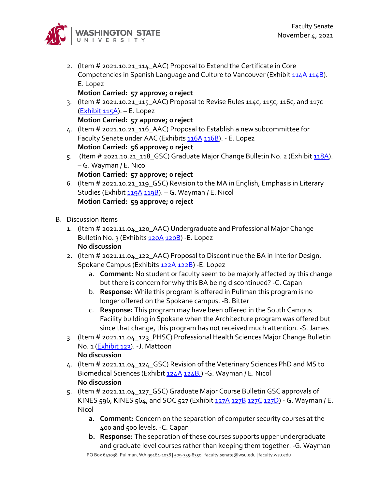

2. (Item # 2021.10.21\_114\_AAC) Proposal to Extend the Certificate in Core Competencies in Spanish Language and Culture to Vancouver (Exhibit [114A](https://s3.wp.wsu.edu/uploads/sites/2135/2021/10/Proposal-to-Extend-the-Certificate-in-Core-Competencies-in-Spanish-Language-and-Culture.pdf) [114B\)](https://s3.wp.wsu.edu/uploads/sites/2135/2021/10/Extend-Core-Competencies-in-Spanish-Language-certificate-to-WSU-Vancouver.pdf). E. Lopez

**Motion Carried: 57 approve; 0 reject** 

3. (Item # 2021.10.21\_115\_AAC) Proposal to Revise Rules 114c, 115c, 116c, and 117c [\(Exhibit 115A\)](https://s3.wp.wsu.edu/uploads/sites/2135/2021/10/Proposal-to-Revise-Rules-114c-115c-116c-and-117c.pdf). – E. Lopez

**Motion Carried: 57 approve; 0 reject** 

- 4. (Item # 2021.10.21\_116\_AAC) Proposal to Establish a new subcommittee for Faculty Senate under AAC (Exhibit[s 116A](https://s3.wp.wsu.edu/uploads/sites/2135/2021/10/116A1.pdf) [116B\)](https://s3.wp.wsu.edu/uploads/sites/2135/2021/10/116B1.pdf). - E. Lopez **Motion Carried: 56 approve; 0 reject**
- 5. (Item # 2021.10.21\_118\_GSC) Graduate Major Change Bulletin No. 2 (Exhibit [118A\)](https://s3.wp.wsu.edu/uploads/sites/2135/2021/10/118-GMCB-2.pdf). – G. Wayman / E. Nicol
	- **Motion Carried: 57 approve; 0 reject**
- 6. (Item # 2021.10.21\_119\_GSC) Revision to the MA in English, Emphasis in Literary Studies (Exhibit [119A](https://s3.wp.wsu.edu/uploads/sites/2135/2021/10/11911.pdf) [119B\)](https://s3.wp.wsu.edu/uploads/sites/2135/2021/10/119B1.pdf). - G. Wayman / E. Nicol **Motion Carried: 59 approve; 0 reject**
- B. Discussion Items
	- 1. (Item # 2021.11.04\_120\_AAC) Undergraduate and Professional Major Change Bulletin No. 3 (Exhibits [120A](https://s3.wp.wsu.edu/uploads/sites/2135/2021/10/120A-upmcb-3-courses.pdf) [120B\)](https://s3.wp.wsu.edu/uploads/sites/2135/2021/10/120B-upmcb-3-requirements.pdf) - E. Lopez **No discussion**
	- 2. (Item # 2021.11.04\_122\_AAC) Proposal to Discontinue the BA in Interior Design, Spokane Campus (Exhibits [122A](https://s3.wp.wsu.edu/uploads/sites/2135/2021/10/122A-Discontinue-BA-in-Interior-Design-Spokane.pdf) [122B\)](https://s3.wp.wsu.edu/uploads/sites/2135/2021/10/122B-Proposal-to-Discontinue-the-BA-in-Interior-Design-Spokane-campus.pdf) - E. Lopez
		- a. **Comment:** No student or faculty seem to be majorly affected by this change but there is concern for why this BA being discontinued? -C. Capan
		- b. **Response:** While this program is offered in Pullman this program is no longer offered on the Spokane campus. -B. Bitter
		- c. **Response:** This program may have been offered in the South Campus Facility building in Spokane when the Architecture program was offered but since that change, this program has not received much attention. -S. James
	- 3. (Item # 2021.11.04\_123\_PHSC) Professional Health Sciences Major Change Bulletin No. 1 [\(Exhibit 123\)](https://s3.wp.wsu.edu/uploads/sites/2135/2021/10/123-PHSMCB-1-courses.pdf). -J. Mattoon **No discussion**
	- 4. (Item # 2021.11.04\_124\_GSC) Revision of the Veterinary Sciences PhD and MS to Biomedical Sciences (Exhibit [124A](https://s3.wp.wsu.edu/uploads/sites/2135/2021/10/124A2.pdf) 124B<sub>1</sub>) - G. Wayman / E. Nicol **No discussion**
	- 5. (Item # 2021.11.04\_127\_GSC) Graduate Major Course Bulletin GSC approvals of KINES 596, KINES 564, and SOC 527 (Exhibit [127A](https://s3.wp.wsu.edu/uploads/sites/2135/2021/10/127A-GMCB-3.pdf) [127B](https://s3.wp.wsu.edu/uploads/sites/2135/2021/10/127A1.pdf) [127C](https://s3.wp.wsu.edu/uploads/sites/2135/2021/10/127B1.pdf) [127D\)](https://s3.wp.wsu.edu/uploads/sites/2135/2021/10/127C1.pdf) - G. Wayman / E. Nicol
		- **a. Comment:** Concern on the separation of computer security courses at the 400 and 500 levels. -C. Capan
		- **b. Response:** The separation of these courses supports upper undergraduate and graduate level courses rather than keeping them together. -G. Wayman

PO Box 641038, Pullman, WA 99164-1038 | 509-335-8350 | faculty.senate@wsu.edu | faculty.wsu.edu